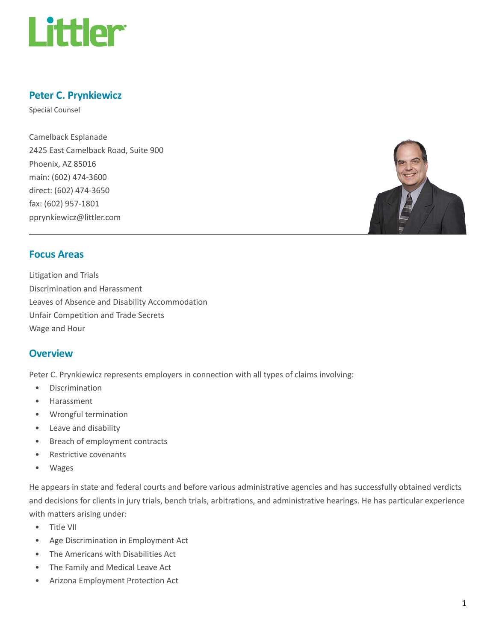

# Peter C. Prynkiewicz

Special Counsel

Camelback Esplanade 2425 East Camelback Road, Suite 900 Phoenix, AZ 85016 main: (602) 474-3600 direct: (602) 474-3650 fax: (602) 957-1801 pprynkiewicz@littler.com



## Focus Areas

Litigation and Trials Discrimination and Harassment Leaves of Absence and Disability Accommodation Unfair Competition and Trade Secrets Wage and Hour

### **Overview**

Peter C. Prynkiewicz represents employers in connection with all types of claims involving:

- Discrimination
- Harassment
- Wrongful termination
- Leave and disability
- Breach of employment contracts
- Restrictive covenants
- Wages

He appears in state and federal courts and before various administrative agencies and has successfully obtained verdicts and decisions for clients in jury trials, bench trials, arbitrations, and administrative hearings. He has particular experience with matters arising under:

- Title VII
- Age Discrimination in Employment Act
- The Americans with Disabilities Act
- The Family and Medical Leave Act
- Arizona Employment Protection Act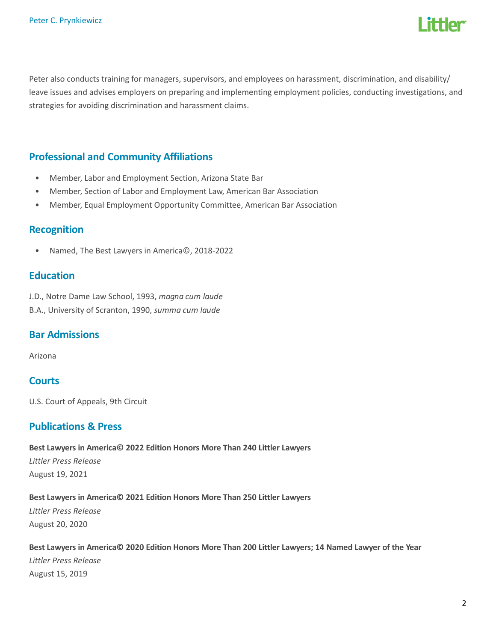

Peter also conducts training for managers, supervisors, and employees on harassment, discrimination, and disability/ leave issues and advises employers on preparing and implementing employment policies, conducting investigations, and strategies for avoiding discrimination and harassment claims.

## Professional and Community Affiliations

- Member, Labor and Employment Section, Arizona State Bar
- Member, Section of Labor and Employment Law, American Bar Association
- Member, Equal Employment Opportunity Committee, American Bar Association

### Recognition

• Named, The Best Lawyers in America©, 2018-2022

### **Education**

J.D., Notre Dame Law School, 1993, magna cum laude B.A., University of Scranton, 1990, summa cum laude

## Bar Admissions

Arizona

## **Courts**

U.S. Court of Appeals, 9th Circuit

### Publications & Press

Best Lawyers in America© 2022 Edition Honors More Than 240 Littler Lawyers Littler Press Release August 19, 2021

#### Best Lawyers in America© 2021 Edition Honors More Than 250 Littler Lawyers

Littler Press Release August 20, 2020

Best Lawyers in America© 2020 Edition Honors More Than 200 Littler Lawyers; 14 Named Lawyer of the Year Littler Press Release August 15, 2019